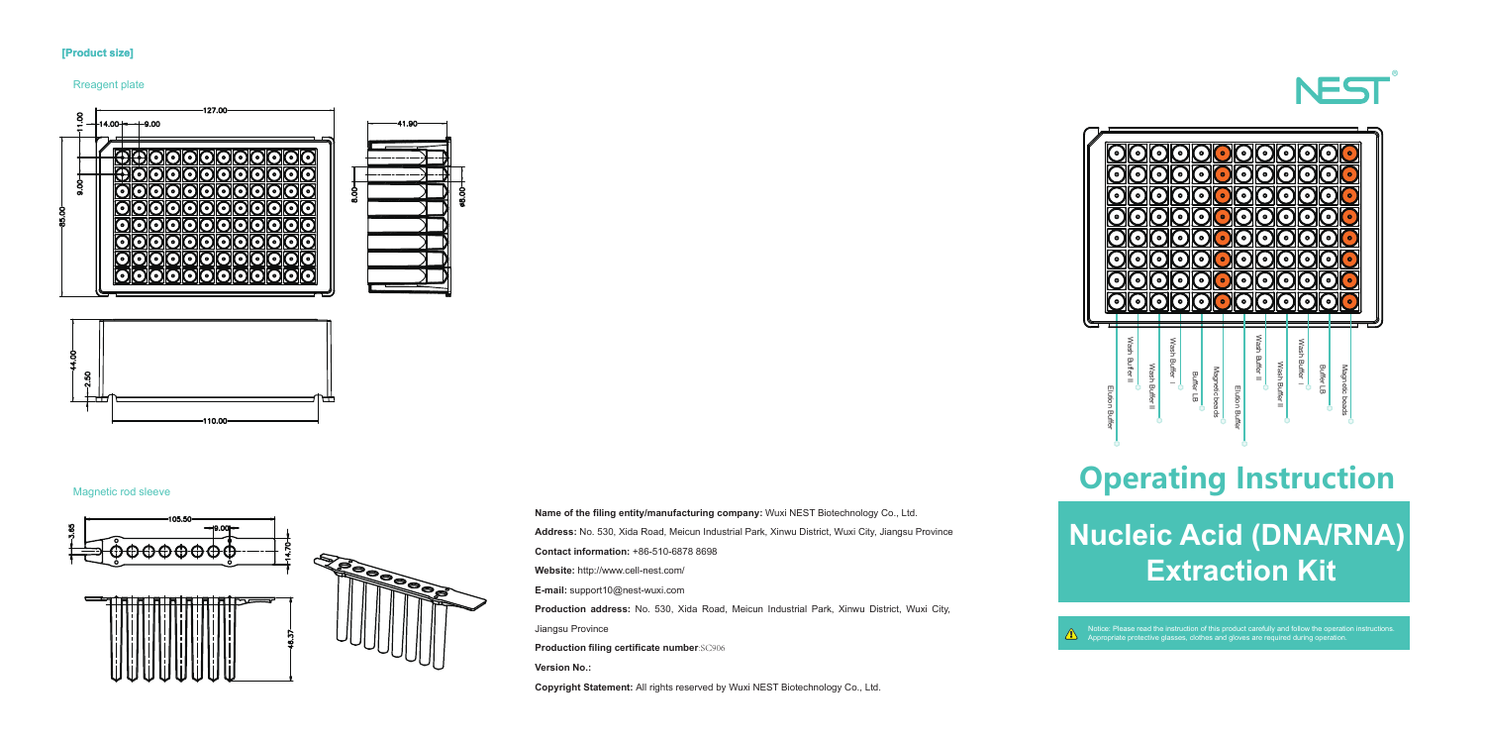# **Nucleic Acid (DNA/RNA) Extraction Kit**

### **[Product size]**

#### Rreagent plate



#### Magnetic rod sleeve







# **Operating Instruction**

Notice: Please read the instruction of this product carefully and follow the operation instructions. Appropriate protective glasses, clothes and gloves are required during operation.

**Name of the filing entity/manufacturing company:** Wuxi NEST Biotechnology Co., Ltd. **Address:** No. 530, Xida Road, Meicun Industrial Park, Xinwu District, Wuxi City, Jiangsu Province **Contact information:** +86-510-6878 8698 **Website:** http://www.cell-nest.com/ **E-mail:** support10@nest-wuxi.com **Production address:** No. 530, Xida Road, Meicun Industrial Park, Xinwu District, Wuxi City, Jiangsu Province **Production filing certificate number**:SC906 **Version No.: Copyright Statement:** All rights reserved by Wuxi NEST Biotechnology Co., Ltd.